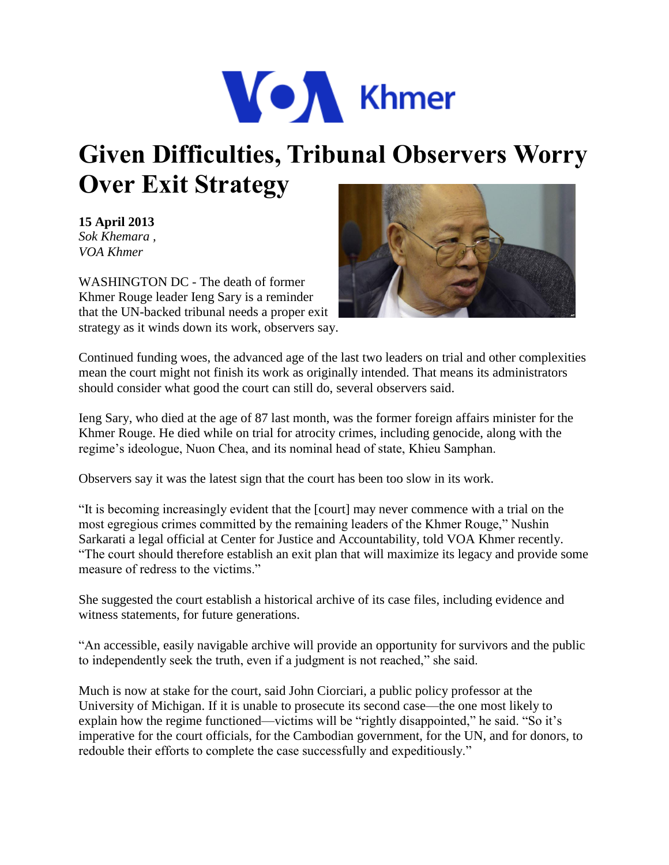

## **Given Difficulties, Tribunal Observers Worry Over Exit Strategy**

**15 April 2013**  *Sok Khemara , VOA Khmer* 

WASHINGTON DC - The death of former Khmer Rouge leader Ieng Sary is a reminder that the UN-backed tribunal needs a proper exit strategy as it winds down its work, observers say.



Continued funding woes, the advanced age of the last two leaders on trial and other complexities mean the court might not finish its work as originally intended. That means its administrators should consider what good the court can still do, several observers said.

Ieng Sary, who died at the age of 87 last month, was the former foreign affairs minister for the Khmer Rouge. He died while on trial for atrocity crimes, including genocide, along with the regime's ideologue, Nuon Chea, and its nominal head of state, Khieu Samphan.

Observers say it was the latest sign that the court has been too slow in its work.

"It is becoming increasingly evident that the [court] may never commence with a trial on the most egregious crimes committed by the remaining leaders of the Khmer Rouge," Nushin Sarkarati a legal official at Center for Justice and Accountability, told VOA Khmer recently. "The court should therefore establish an exit plan that will maximize its legacy and provide some measure of redress to the victims."

She suggested the court establish a historical archive of its case files, including evidence and witness statements, for future generations.

"An accessible, easily navigable archive will provide an opportunity for survivors and the public to independently seek the truth, even if a judgment is not reached," she said.

Much is now at stake for the court, said John Ciorciari, a public policy professor at the University of Michigan. If it is unable to prosecute its second case—the one most likely to explain how the regime functioned—victims will be "rightly disappointed," he said. "So it's imperative for the court officials, for the Cambodian government, for the UN, and for donors, to redouble their efforts to complete the case successfully and expeditiously."